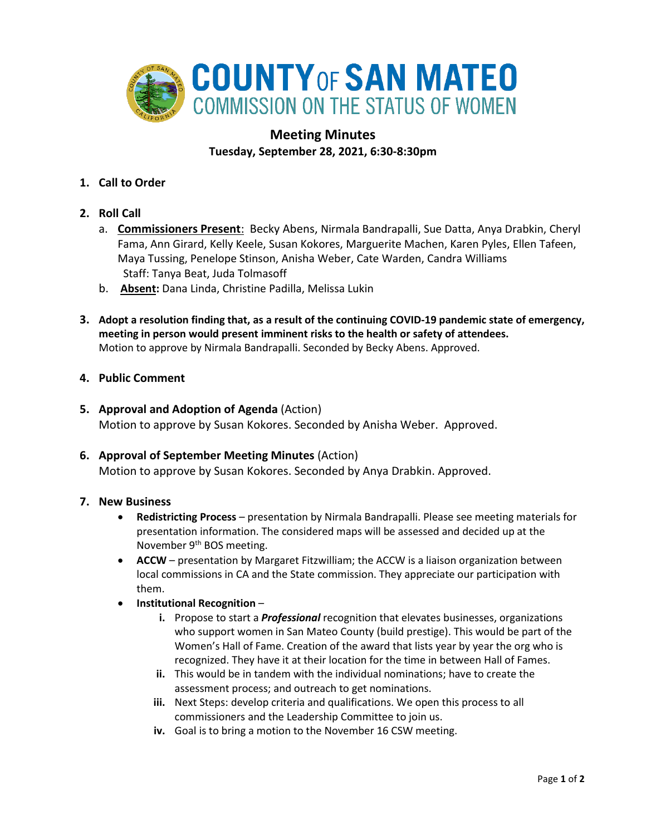

# **Meeting Minutes Tuesday, September 28, 2021, 6:30-8:30pm**

- **1. Call to Order**
- **2. Roll Call**
	- a. **Commissioners Present**: Becky Abens, Nirmala Bandrapalli, Sue Datta, Anya Drabkin, Cheryl Fama, Ann Girard, Kelly Keele, Susan Kokores, Marguerite Machen, Karen Pyles, Ellen Tafeen, Maya Tussing, Penelope Stinson, Anisha Weber, Cate Warden, Candra Williams Staff: Tanya Beat, Juda Tolmasoff
	- b. **Absent:** Dana Linda, Christine Padilla, Melissa Lukin
- **3. Adopt a resolution finding that, as a result of the continuing COVID-19 pandemic state of emergency, meeting in person would present imminent risks to the health or safety of attendees.** Motion to approve by Nirmala Bandrapalli. Seconded by Becky Abens. Approved.
- **4. Public Comment**
- **5. Approval and Adoption of Agenda** (Action) Motion to approve by Susan Kokores. Seconded by Anisha Weber. Approved.
- **6. Approval of September Meeting Minutes** (Action) Motion to approve by Susan Kokores. Seconded by Anya Drabkin. Approved.

## **7. New Business**

- **Redistricting Process** presentation by Nirmala Bandrapalli. Please see meeting materials for presentation information. The considered maps will be assessed and decided up at the November 9<sup>th</sup> BOS meeting.
- **ACCW** presentation by Margaret Fitzwilliam; the ACCW is a liaison organization between local commissions in CA and the State commission. They appreciate our participation with them.
- **Institutional Recognition**
	- **i.** Propose to start a *Professional* recognition that elevates businesses, organizations who support women in San Mateo County (build prestige). This would be part of the Women's Hall of Fame. Creation of the award that lists year by year the org who is recognized. They have it at their location for the time in between Hall of Fames.
	- **ii.** This would be in tandem with the individual nominations; have to create the assessment process; and outreach to get nominations.
	- **iii.** Next Steps: develop criteria and qualifications. We open this process to all commissioners and the Leadership Committee to join us.
	- **iv.** Goal is to bring a motion to the November 16 CSW meeting.